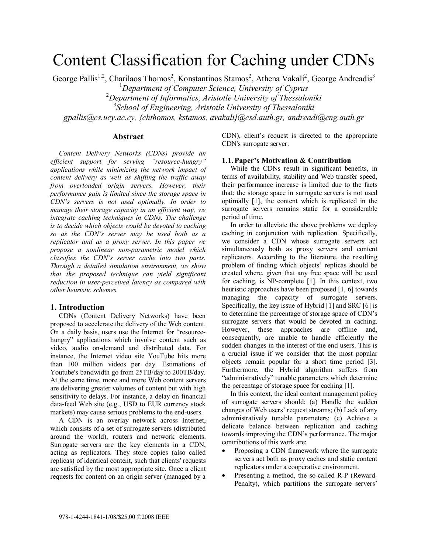# Content Classification for Caching under CDNs

George Pallis<sup>1,2</sup>, Charilaos Thomos<sup>2</sup>, Konstantinos Stamos<sup>2</sup>, Athena Vakali<sup>2</sup>, George Andreadis<sup>3</sup> 1 *Department of Computer Science, University of Cyprus*  2 *Department of Informatics, Aristotle University of Thessaloniki 3 School of Engineering, Aristotle University of Thessaloniki gpallis@cs.ucy.ac.cy, {chthomos, kstamos, avakali}@csd.auth.gr, andreadi@eng.auth.gr* 

#### **Abstract**

*Content Delivery Networks (CDNs) provide an efficient support for serving "resource-hungry" applications while minimizing the network impact of content delivery as well as shifting the traffic away from overloaded origin servers. However, their performance gain is limited since the storage space in CDN's servers is not used optimally. In order to manage their storage capacity in an efficient way, we integrate caching techniques in CDNs. The challenge is to decide which objects would be devoted to caching so as the CDN's server may be used both as a replicator and as a proxy server. In this paper we propose a nonlinear non-parametric model which classifies the CDN's server cache into two parts. Through a detailed simulation environment, we show that the proposed technique can yield significant reduction in user-perceived latency as compared with other heuristic schemes.* 

## **1. Introduction**

CDNs (Content Delivery Networks) have been proposed to accelerate the delivery of the Web content. On a daily basis, users use the Internet for "resourcehungry" applications which involve content such as video, audio on-demand and distributed data. For instance, the Internet video site YouTube hits more than 100 million videos per day. Estimations of Youtube's bandwidth go from 25TB/day to 200TB/day. At the same time, more and more Web content servers are delivering greater volumes of content but with high sensitivity to delays. For instance, a delay on financial data-feed Web site (e.g., USD to EUR currency stock markets) may cause serious problems to the end-users.

A CDN is an overlay network across Internet, which consists of a set of surrogate servers (distributed around the world), routers and network elements. Surrogate servers are the key elements in a CDN, acting as replicators. They store copies (also called replicas) of identical content, such that clients' requests are satisfied by the most appropriate site. Once a client requests for content on an origin server (managed by a

CDN), client's request is directed to the appropriate CDN's surrogate server.

#### **1.1.Paper's Motivation & Contribution**

While the CDNs result in significant benefits, in terms of availability, stability and Web transfer speed, their performance increase is limited due to the facts that: the storage space in surrogate servers is not used optimally [1], the content which is replicated in the surrogate servers remains static for a considerable period of time.

In order to alleviate the above problems we deploy caching in conjunction with replication. Specifically, we consider a CDN whose surrogate servers act simultaneously both as proxy servers and content replicators. According to the literature, the resulting problem of finding which objects' replicas should be created where, given that any free space will be used for caching, is NP-complete [1]. In this context, two heuristic approaches have been proposed [1, 6] towards managing the capacity of surrogate servers. Specifically, the key issue of Hybrid [1] and SRC [6] is to determine the percentage of storage space of CDN's surrogate servers that would be devoted in caching. However, these approaches are offline and, consequently, are unable to handle efficiently the sudden changes in the interest of the end users. This is a crucial issue if we consider that the most popular objects remain popular for a short time period [3]. Furthermore, the Hybrid algorithm suffers from "administratively" tunable parameters which determine the percentage of storage space for caching [1].

In this context, the ideal content management policy of surrogate servers should: (a) Handle the sudden changes of Web users' request streams; (b) Lack of any administratively tunable parameters; (c) Achieve a delicate balance between replication and caching towards improving the CDN's performance. The major contributions of this work are:

- Proposing a CDN framework where the surrogate servers act both as proxy caches and static content replicators under a cooperative environment.
- Presenting a method, the so-called R-P (Reward-Penalty), which partitions the surrogate servers'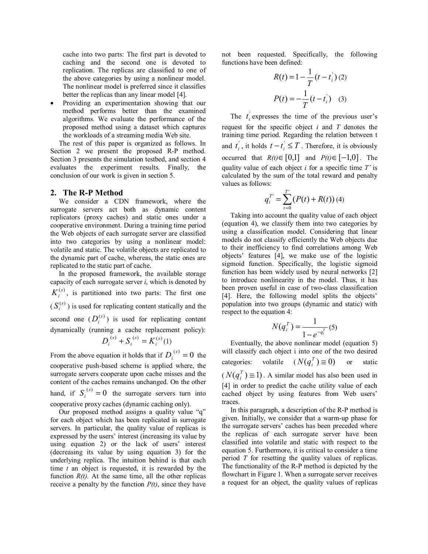cache into two parts: The first part is devoted to caching and the second one is devoted to replication. The replicas are classified to one of the above categories by using a nonlinear model. The nonlinear model is preferred since it classifies better the replicas than any linear model [4].

• Providing an experimentation showing that our method performs better than the examined algorithms. We evaluate the performance of the proposed method using a dataset which captures the workloads of a streaming media Web site.

The rest of this paper is organized as follows. In Section 2 we present the proposed R-P method. Section 3 presents the simulation testbed, and section 4 evaluates the experiment results. Finally, the conclusion of our work is given in section 5.

## **2. The R-P Method**

We consider a CDN framework, where the surrogate servers act both as dynamic content replicators (proxy caches) and static ones under a cooperative environment. During a training time period the Web objects of each surrogate server are classified into two categories by using a nonlinear model: volatile and static. The volatile objects are replicated to the dynamic part of cache, whereas, the static ones are replicated to the static part of cache.

In the proposed framework, the available storage capacity of each surrogate server *i*, which is denoted by  $K_i^{(s)}$ , is partitioned into two parts: The first one  $(S_i^{(s)})$  is used for replicating content statically and the second one  $(D_i^{(s)})$  is used for replicating content dynamically (running a cache replacement policy):  $D_i^{(s)} + S_i^{(s)} = K_i^{(s)}$ *s*  $D_i^{(s)} + S_i^{(s)} = K_i^{(s)}(1)$ 

From the above equation it holds that if  $D_i^{(s)} = 0$  the cooperative push-based scheme is applied where, the surrogate servers cooperate upon cache misses and the content of the caches remains unchanged. On the other hand, if  $S_i^{(s)} = 0$  the surrogate servers turn into cooperative proxy caches (dynamic caching only).

Our proposed method assigns a quality value "q" for each object which has been replicated in surrogate servers. In particular, the quality value of replicas is expressed by the users' interest (increasing its value by using equation 2) or the lack of users' interest (decreasing its value by using equation 3) for the underlying replica. The intuition behind is that each time *t* an object is requested, it is rewarded by the function  $R(t)$ . At the same time, all the other replicas receive a penalty by the function  $P(t)$ , since they have

not been requested. Specifically, the following functions have been defined:

$$
R(t) = 1 - \frac{1}{T} (t - t_i)(2)
$$

$$
P(t) = -\frac{1}{T} (t - t_i) \quad (3)
$$

The  $t_i$  expresses the time of the previous user's request for the specific object *i* and *T* denotes the training time period. Regarding the relation between t and  $t_i$ , it holds  $t - t_i \leq T$ . Therefore, it is obviously occurred that  $R(t) \in [0,1]$  and  $P(t) \in [-1,0]$ . The quality value of each object *i* for a specific time *T'* is calculated by the sum of the total reward and penalty values as follows:

$$
q_i^{T'} = \sum_{t=0}^{T'} (P(t) + R(t))
$$
 (4)

Taking into account the quality value of each object (equation 4), we classify them into two categories by using a classification model. Considering that linear models do not classify efficiently the Web objects due to their inefficiency to find correlations among Web objects' features [4], we make use of the logistic sigmoid function. Specifically, the logistic sigmoid function has been widely used by neural networks [2] to introduce nonlinearity in the model. Thus, it has been proven useful in case of two-class classification [4]. Here, the following model splits the objects' population into two groups (dynamic and static) with respect to the equation 4:

$$
N(q_i^T) = \frac{1}{1 - e^{-q_i^T}}(5)
$$

Eventually, the above nonlinear model (equation 5) will classify each object i into one of the two desired categories: volatile  $(N(q_i^T) \cong 0)$  or static  $(N(q_i^T) \cong 1)$ . A similar model has also been used in [4] in order to predict the cache utility value of each cached object by using features from Web users' traces.

In this paragraph, a description of the R-P method is given. Initially, we consider that a warm-up phase for the surrogate servers' caches has been preceded where the replicas of each surrogate server have been classified into volatile and static with respect to the equation 5. Furthermore, it is critical to consider a time period *T* for resetting the quality values of replicas. The functionality of the R-P method is depicted by the flowchart in Figure 1. When a surrogate server receives a request for an object, the quality values of replicas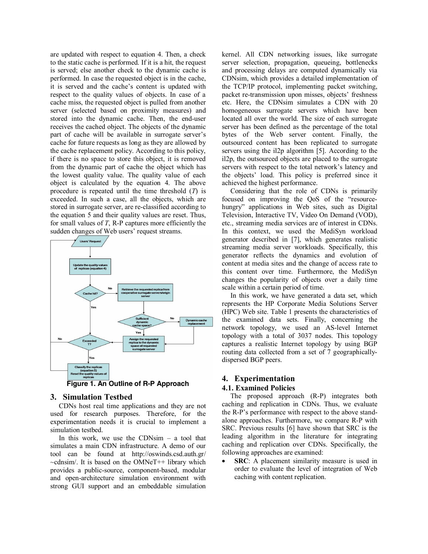are updated with respect to equation 4. Then, a check to the static cache is performed. If it is a hit, the request is served; else another check to the dynamic cache is performed. In case the requested object is in the cache, it is served and the cache's content is updated with respect to the quality values of objects. In case of a cache miss, the requested object is pulled from another server (selected based on proximity measures) and stored into the dynamic cache. Then, the end-user receives the cached object. The objects of the dynamic part of cache will be available in surrogate server's cache for future requests as long as they are allowed by the cache replacement policy. According to this policy, if there is no space to store this object, it is removed from the dynamic part of cache the object which has the lowest quality value. The quality value of each object is calculated by the equation 4. The above procedure is repeated until the time threshold (*T*) is exceeded. In such a case, all the objects, which are stored in surrogate server, are re-classified according to the equation 5 and their quality values are reset. Thus, for small values of *T*, R-P captures more efficiently the sudden changes of Web users' request streams.



**Figure 1. An Outline of R-P Approach** 

## **3. Simulation Testbed**

CDNs host real time applications and they are not used for research purposes. Therefore, for the experimentation needs it is crucial to implement a simulation testbed.

In this work, we use the CDNsim  $-$  a tool that simulates a main CDN infrastructure. A demo of our tool can be found at http://oswinds.csd.auth.gr/ ~cdnsim/. It is based on the ΟΜΝeΤ++ library which provides a public-source, component-based, modular and open-architecture simulation environment with strong GUI support and an embeddable simulation kernel. All CDN networking issues, like surrogate server selection, propagation, queueing, bottlenecks and processing delays are computed dynamically via CDNsim, which provides a detailed implementation of the TCP/IP protocol, implementing packet switching, packet re-transmission upon misses, objects' freshness etc. Here, the CDNsim simulates a CDN with 20 homogeneous surrogate servers which have been located all over the world. The size of each surrogate server has been defined as the percentage of the total bytes of the Web server content. Finally, the outsourced content has been replicated to surrogate servers using the il2p algorithm [5]. According to the il2p, the outsourced objects are placed to the surrogate servers with respect to the total network's latency and the objects' load. This policy is preferred since it achieved the highest performance.

Considering that the role of CDNs is primarily focused on improving the QoS of the "resourcehungry" applications in Web sites, such as Digital Television, Interactive TV, Video On Demand (VOD), etc., streaming media services are of interest in CDNs. In this context, we used the MediSyn workload generator described in [7], which generates realistic streaming media server workloads. Specifically, this generator reflects the dynamics and evolution of content at media sites and the change of access rate to this content over time. Furthermore, the MediSyn changes the popularity of objects over a daily time scale within a certain period of time.

In this work, we have generated a data set, which represents the HP Corporate Media Solutions Server (HPC) Web site. Table 1 presents the characteristics of the examined data sets. Finally, concerning the network topology, we used an AS-level Internet topology with a total of 3037 nodes. This topology captures a realistic Internet topology by using BGP routing data collected from a set of 7 geographicallydispersed BGP peers.

# **4. Experimentation**

## **4.1. Examined Policies**

The proposed approach (R-P) integrates both caching and replication in CDNs. Thus, we evaluate the R-P's performance with respect to the above standalone approaches. Furthermore, we compare R-P with SRC. Previous results [6] have shown that SRC is the leading algorithm in the literature for integrating caching and replication over CDNs. Specifically, the following approaches are examined:

**SRC**: A placement similarity measure is used in order to evaluate the level of integration of Web caching with content replication.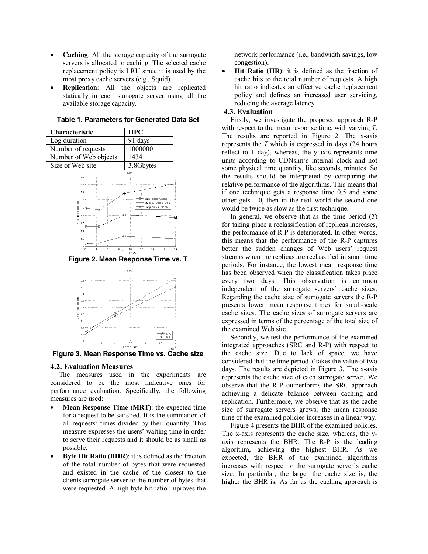- **Caching**: All the storage capacity of the surrogate servers is allocated to caching. The selected cache replacement policy is LRU since it is used by the most proxy cache servers (e.g., Squid).
- **Replication**: All the objects are replicated statically in each surrogate server using all the available storage capacity.

**Table 1. Parameters for Generated Data Set** 

| Characteristic        | <b>HPC</b> |
|-----------------------|------------|
| Log duration          | 91 days    |
| Number of requests    | 1000000    |
| Number of Web objects | 1434       |
| Size of Web site      | 3.8Gbytes  |
| 2.8                   | HPC        |
| 2B                    |            |
| 2.4                   |            |



**Figure 2. Mean Response Time vs. T** 



**Figure 3. Mean Response Time vs. Cache size** 

#### **4.2. Evaluation Measures**

The measures used in the experiments are considered to be the most indicative ones for performance evaluation. Specifically, the following measures are used:

- **Mean Response Time (MRT)**: the expected time for a request to be satisfied. It is the summation of all requests' times divided by their quantity. This measure expresses the users' waiting time in order to serve their requests and it should be as small as possible.
- **Byte Hit Ratio (BHR)**: it is defined as the fraction of the total number of bytes that were requested and existed in the cache of the closest to the clients surrogate server to the number of bytes that were requested. A high byte hit ratio improves the

network performance (i.e., bandwidth savings, low congestion).

• **Hit Ratio (HR)**: it is defined as the fraction of cache hits to the total number of requests. A high hit ratio indicates an effective cache replacement policy and defines an increased user servicing, reducing the average latency.

# **4.3. Evaluation**

Firstly, we investigate the proposed approach R-P with respect to the mean response time, with varying *T*. The results are reported in Figure 2. The x-axis represents the *T* which is expressed in days (24 hours reflect to 1 day), whereas, the y-axis represents time units according to CDNsim's internal clock and not some physical time quantity, like seconds, minutes. So the results should be interpreted by comparing the relative performance of the algorithms. This means that if one technique gets a response time 0.5 and some other gets 1.0, then in the real world the second one would be twice as slow as the first technique.

In general, we observe that as the time period (*T*) for taking place a reclassification of replicas increases, the performance of R-P is deteriorated. In other words, this means that the performance of the R-P captures better the sudden changes of Web users' request streams when the replicas are reclassified in small time periods. For instance, the lowest mean response time has been observed when the classification takes place every two days. This observation is common independent of the surrogate servers' cache sizes. Regarding the cache size of surrogate servers the R-P presents lower mean response times for small-scale cache sizes. The cache sizes of surrogate servers are expressed in terms of the percentage of the total size of the examined Web site.

Secondly, we test the performance of the examined integrated approaches (SRC and R-P) with respect to the cache size. Due to lack of space, we have considered that the time period *T* takes the value of two days. The results are depicted in Figure 3. The x-axis represents the cache size of each surrogate server. We observe that the R-P outperforms the SRC approach achieving a delicate balance between caching and replication. Furthermore, we observe that as the cache size of surrogate servers grows, the mean response time of the examined policies increases in a linear way.

Figure 4 presents the BHR of the examined policies. The x-axis represents the cache size, whereas, the yaxis represents the BHR. The R-P is the leading algorithm, achieving the highest BHR. As we expected, the BHR of the examined algorithms increases with respect to the surrogate server's cache size. In particular, the larger the cache size is, the higher the BHR is. As far as the caching approach is